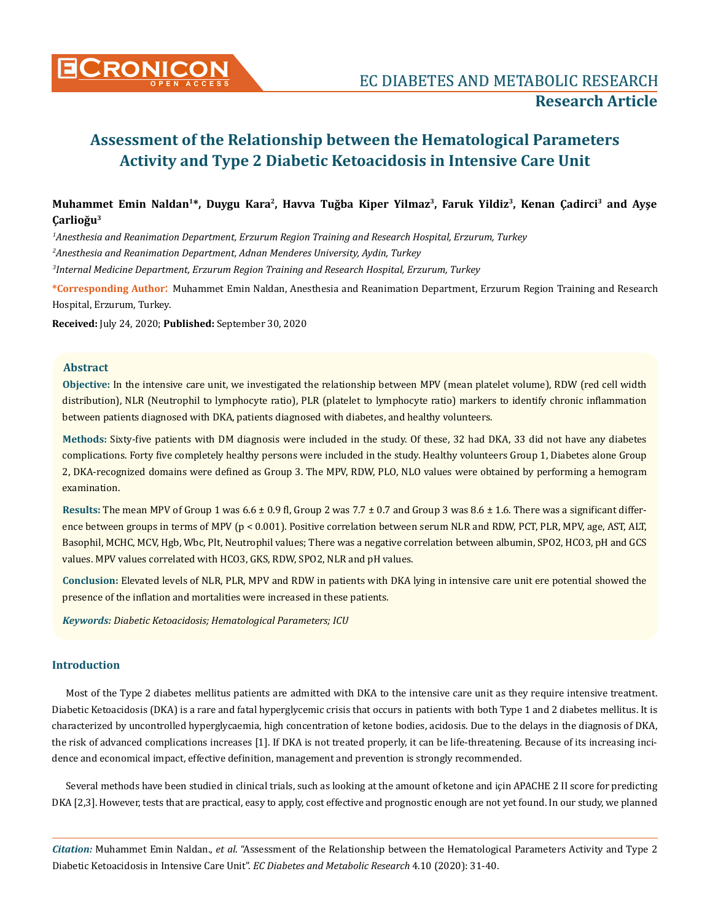

## **Muhammet Emin Naldan1\*, Duygu Kara2, Havva Tuğba Kiper Yilmaz<sup>3</sup>, Faruk Yildiz3, Kenan Çadirci3 and Ayşe Çarlioğu<sup>3</sup>**

*1 Anesthesia and Reanimation Department, Erzurum Region Training and Research Hospital, Erzurum, Turkey 2 Anesthesia and Reanimation Department, Adnan Menderes University, Aydin, Turkey 3 Internal Medicine Department, Erzurum Region Training and Research Hospital, Erzurum, Turkey*

**\*Corresponding Author**: Muhammet Emin Naldan, Anesthesia and Reanimation Department, Erzurum Region Training and Research Hospital, Erzurum, Turkey.

**Received:** July 24, 2020; **Published:** September 30, 2020

#### **Abstract**

**Objective:** In the intensive care unit, we investigated the relationship between MPV (mean platelet volume), RDW (red cell width distribution), NLR (Neutrophil to lymphocyte ratio), PLR (platelet to lymphocyte ratio) markers to identify chronic inflammation between patients diagnosed with DKA, patients diagnosed with diabetes, and healthy volunteers.

**Methods:** Sixty-five patients with DM diagnosis were included in the study. Of these, 32 had DKA, 33 did not have any diabetes complications. Forty five completely healthy persons were included in the study. Healthy volunteers Group 1, Diabetes alone Group 2, DKA-recognized domains were defined as Group 3. The MPV, RDW, PLO, NLO values were obtained by performing a hemogram examination.

**Results:** The mean MPV of Group 1 was 6.6 ± 0.9 fl, Group 2 was 7.7 ± 0.7 and Group 3 was 8.6 ± 1.6. There was a significant difference between groups in terms of MPV (p < 0.001). Positive correlation between serum NLR and RDW, PCT, PLR, MPV, age, AST, ALT, Basophil, MCHC, MCV, Hgb, Wbc, Plt, Neutrophil values; There was a negative correlation between albumin, SPO2, HCO3, pH and GCS values. MPV values correlated with HCO3, GKS, RDW, SPO2, NLR and pH values.

**Conclusion:** Elevated levels of NLR, PLR, MPV and RDW in patients with DKA lying in intensive care unit ere potential showed the presence of the inflation and mortalities were increased in these patients.

*Keywords: Diabetic Ketoacidosis; Hematological Parameters; ICU*

## **Introduction**

Most of the Type 2 diabetes mellitus patients are admitted with DKA to the intensive care unit as they require intensive treatment. Diabetic Ketoacidosis (DKA) is a rare and fatal hyperglycemic crisis that occurs in patients with both Type 1 and 2 diabetes mellitus. It is characterized by uncontrolled hyperglycaemia, high concentration of ketone bodies, acidosis. Due to the delays in the diagnosis of DKA, the risk of advanced complications increases [1]. If DKA is not treated properly, it can be life-threatening. Because of its increasing incidence and economical impact, effective definition, management and prevention is strongly recommended.

Several methods have been studied in clinical trials, such as looking at the amount of ketone and için APACHE 2 II score for predicting DKA [2,3]. However, tests that are practical, easy to apply, cost effective and prognostic enough are not yet found. In our study, we planned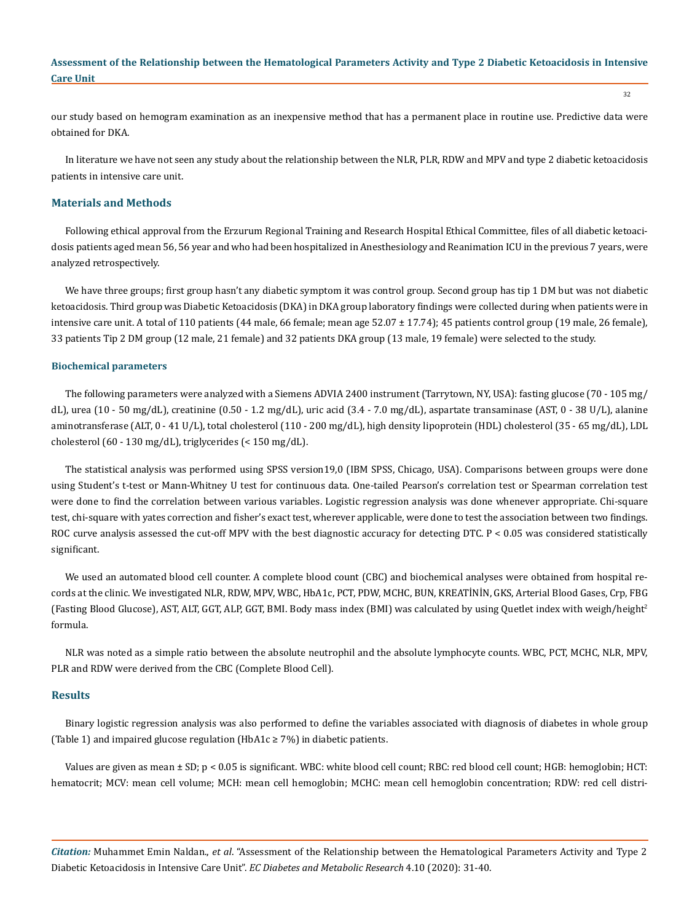our study based on hemogram examination as an inexpensive method that has a permanent place in routine use. Predictive data were obtained for DKA.

In literature we have not seen any study about the relationship between the NLR, PLR, RDW and MPV and type 2 diabetic ketoacidosis patients in intensive care unit.

#### **Materials and Methods**

Following ethical approval from the Erzurum Regional Training and Research Hospital Ethical Committee, files of all diabetic ketoacidosis patients aged mean 56, 56 year and who had been hospitalized in Anesthesiology and Reanimation ICU in the previous 7 years, were analyzed retrospectively.

We have three groups; first group hasn't any diabetic symptom it was control group. Second group has tip 1 DM but was not diabetic ketoacidosis. Third group was Diabetic Ketoacidosis (DKA) in DKA group laboratory findings were collected during when patients were in intensive care unit. A total of 110 patients (44 male, 66 female; mean age 52.07 ± 17.74); 45 patients control group (19 male, 26 female), 33 patients Tip 2 DM group (12 male, 21 female) and 32 patients DKA group (13 male, 19 female) were selected to the study.

#### **Biochemical parameters**

The following parameters were analyzed with a Siemens ADVIA 2400 instrument (Tarrytown, NY, USA): fasting glucose (70 - 105 mg/ dL), urea (10 - 50 mg/dL), creatinine (0.50 - 1.2 mg/dL), uric acid (3.4 - 7.0 mg/dL), aspartate transaminase (AST, 0 - 38 U/L), alanine aminotransferase (ALT, 0 - 41 U/L), total cholesterol (110 - 200 mg/dL), high density lipoprotein (HDL) cholesterol (35 - 65 mg/dL), LDL cholesterol (60 - 130 mg/dL), triglycerides (< 150 mg/dL).

The statistical analysis was performed using SPSS version19,0 (IBM SPSS, Chicago, USA). Comparisons between groups were done using Student's t-test or Mann-Whitney U test for continuous data. One-tailed Pearson's correlation test or Spearman correlation test were done to find the correlation between various variables. Logistic regression analysis was done whenever appropriate. Chi-square test, chi-square with yates correction and fisher's exact test, wherever applicable, were done to test the association between two findings. ROC curve analysis assessed the cut-off MPV with the best diagnostic accuracy for detecting DTC. P < 0.05 was considered statistically significant.

We used an automated blood cell counter. A complete blood count (CBC) and biochemical analyses were obtained from hospital records at the clinic. We investigated NLR, RDW, MPV, WBC, HbA1c, PCT, PDW, MCHC, BUN, KREATİNİN, GKS, Arterial Blood Gases, Crp, FBG (Fasting Blood Glucose), AST, ALT, GGT, ALP, GGT, BMI. Body mass index (BMI) was calculated by using Quetlet index with weigh/height<sup>2</sup> formula.

NLR was noted as a simple ratio between the absolute neutrophil and the absolute lymphocyte counts. WBC, PCT, MCHC, NLR, MPV, PLR and RDW were derived from the CBC (Complete Blood Cell).

#### **Results**

Binary logistic regression analysis was also performed to define the variables associated with diagnosis of diabetes in whole group (Table 1) and impaired glucose regulation (HbA1c  $\geq$  7%) in diabetic patients.

Values are given as mean ± SD; p < 0.05 is significant. WBC: white blood cell count; RBC: red blood cell count; HGB: hemoglobin; HCT: hematocrit; MCV: mean cell volume; MCH: mean cell hemoglobin; MCHC: mean cell hemoglobin concentration; RDW: red cell distri-

*Citation:* Muhammet Emin Naldan., *et al*. "Assessment of the Relationship between the Hematological Parameters Activity and Type 2 Diabetic Ketoacidosis in Intensive Care Unit". *EC Diabetes and Metabolic Research* 4.10 (2020): 31-40.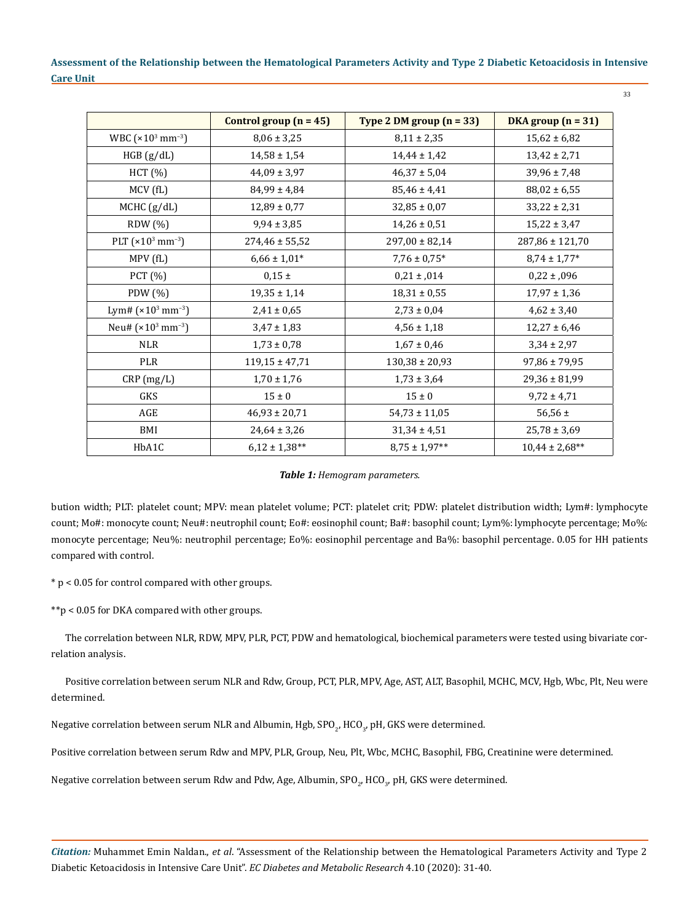|                                  | Control group $(n = 45)$ | Type 2 DM group $(n = 33)$ | DKA group $(n = 31)$ |
|----------------------------------|--------------------------|----------------------------|----------------------|
| WBC $(x10^3 \text{ mm}^{-3})$    | $8,06 \pm 3,25$          | $8,11 \pm 2,35$            | $15,62 \pm 6,82$     |
| HGB (g/dL)                       | $14,58 \pm 1,54$         | $14,44 \pm 1,42$           | $13,42 \pm 2,71$     |
| HCT (%)                          | $44,09 \pm 3,97$         | $46,37 \pm 5,04$           | $39,96 \pm 7,48$     |
| MCV (fL)                         | $84,99 \pm 4,84$         | $85,46 \pm 4,41$           | $88,02 \pm 6,55$     |
| MCHC (g/dL)                      | $12,89 \pm 0,77$         | $32,85 \pm 0,07$           | $33,22 \pm 2,31$     |
| RDW(%)                           | $9,94 \pm 3,85$          | $14,26 \pm 0,51$           | $15,22 \pm 3,47$     |
| PLT $(x10^3 \text{ mm}^{-3})$    | $274,46 \pm 55,52$       | $297,00 \pm 82,14$         | 287,86 ± 121,70      |
| MPV (fL)                         | $6,66 \pm 1,01*$         | $7,76 \pm 0,75$ *          | $8,74 \pm 1,77$ *    |
| PCT (%)                          | $0.15 \pm$               | $0,21 \pm 0.14$            | $0,22 \pm 0.096$     |
| PDW (%)                          | $19,35 \pm 1,14$         | $18,31 \pm 0,55$           | $17,97 \pm 1,36$     |
| Lym# $(x10^3$ mm <sup>-3</sup> ) | $2,41 \pm 0,65$          | $2,73 \pm 0,04$            | $4,62 \pm 3,40$      |
| Neu# $(x10^3 \text{ mm}^{-3})$   | $3,47 \pm 1,83$          | $4,56 \pm 1,18$            | $12,27 \pm 6,46$     |
| <b>NLR</b>                       | $1,73 \pm 0,78$          | $1,67 \pm 0,46$            | $3,34 \pm 2,97$      |
| PLR                              | $119,15 \pm 47,71$       | $130,38 \pm 20,93$         | $97,86 \pm 79,95$    |
| CRP(mg/L)                        | $1,70 \pm 1,76$          | $1,73 \pm 3,64$            | $29,36 \pm 81,99$    |
| <b>GKS</b>                       | $15 \pm 0$               | $15 \pm 0$                 | $9,72 \pm 4,71$      |
| AGE                              | $46,93 \pm 20,71$        | $54,73 \pm 11,05$          | 56,56 $\pm$          |
| BMI                              | $24,64 \pm 3,26$         | $31,34 \pm 4,51$           | $25,78 \pm 3,69$     |
| HbA1C                            | $6,12 \pm 1,38**$        | $8,75 \pm 1,97**$          | $10,44 \pm 2,68**$   |

#### *Table 1: Hemogram parameters.*

bution width; PLT: platelet count; MPV: mean platelet volume; PCT: platelet crit; PDW: platelet distribution width; Lym#: lymphocyte count; Mo#: monocyte count; Neu#: neutrophil count; Eo#: eosinophil count; Ba#: basophil count; Lym%: lymphocyte percentage; Mo%: monocyte percentage; Neu%: neutrophil percentage; Eo%: eosinophil percentage and Ba%: basophil percentage. 0.05 for HH patients compared with control.

\* p < 0.05 for control compared with other groups.

\*\*p < 0.05 for DKA compared with other groups.

The correlation between NLR, RDW, MPV, PLR, PCT, PDW and hematological, biochemical parameters were tested using bivariate correlation analysis.

Positive correlation between serum NLR and Rdw, Group, PCT, PLR, MPV, Age, AST, ALT, Basophil, MCHC, MCV, Hgb, Wbc, Plt, Neu were determined.

Negative correlation between serum NLR and Albumin, Hgb, SPO $_{2^{\prime}}$  HCO $_{3^{\prime}}$  pH, GKS were determined.

Positive correlation between serum Rdw and MPV, PLR, Group, Neu, Plt, Wbc, MCHC, Basophil, FBG, Creatinine were determined.

Negative correlation between serum Rdw and Pdw, Age, Albumin, SPO $_{\rm 2'}$  HCO $_{\rm 3'}$  pH, GKS were determined.

*Citation:* Muhammet Emin Naldan., *et al*. "Assessment of the Relationship between the Hematological Parameters Activity and Type 2 Diabetic Ketoacidosis in Intensive Care Unit". *EC Diabetes and Metabolic Research* 4.10 (2020): 31-40.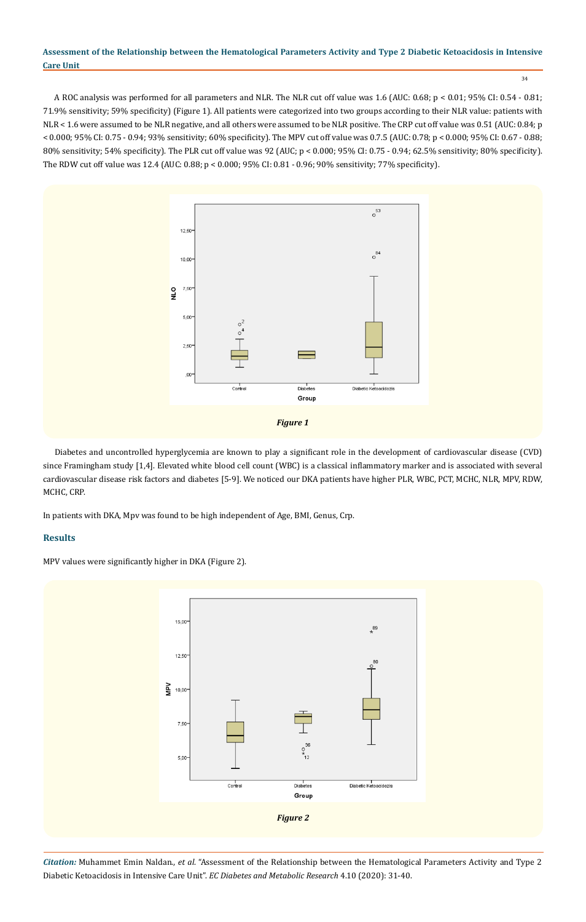34

A ROC analysis was performed for all parameters and NLR. The NLR cut off value was 1.6 (AUC: 0.68; p < 0.01; 95% CI: 0.54 - 0.81; 71.9% sensitivity; 59% specificity) (Figure 1). All patients were categorized into two groups according to their NLR value: patients with NLR < 1.6 were assumed to be NLR negative, and all others were assumed to be NLR positive. The CRP cut off value was 0.51 (AUC: 0.84; p < 0.000; 95% CI: 0.75 - 0.94; 93% sensitivity; 60% specificity). The MPV cut off value was 0.7.5 (AUC: 0.78; p < 0.000; 95% CI: 0.67 - 0.88; 80% sensitivity; 54% specificity). The PLR cut off value was 92 (AUC; p < 0.000; 95% CI: 0.75 - 0.94; 62.5% sensitivity; 80% specificity). The RDW cut off value was 12.4 (AUC: 0.88; p < 0.000; 95% CI: 0.81 - 0.96; 90% sensitivity; 77% specificity).



Diabetes and uncontrolled hyperglycemia are known to play a significant role in the development of cardiovascular disease (CVD) since Framingham study [1,4]. Elevated white blood cell count (WBC) is a classical inflammatory marker and is associated with several cardiovascular disease risk factors and diabetes [5-9]. We noticed our DKA patients have higher PLR, WBC, PCT, MCHC, NLR, MPV, RDW, MCHC, CRP.

In patients with DKA, Mpv was found to be high independent of Age, BMI, Genus, Crp.

## **Results**

MPV values were significantly higher in DKA (Figure 2).

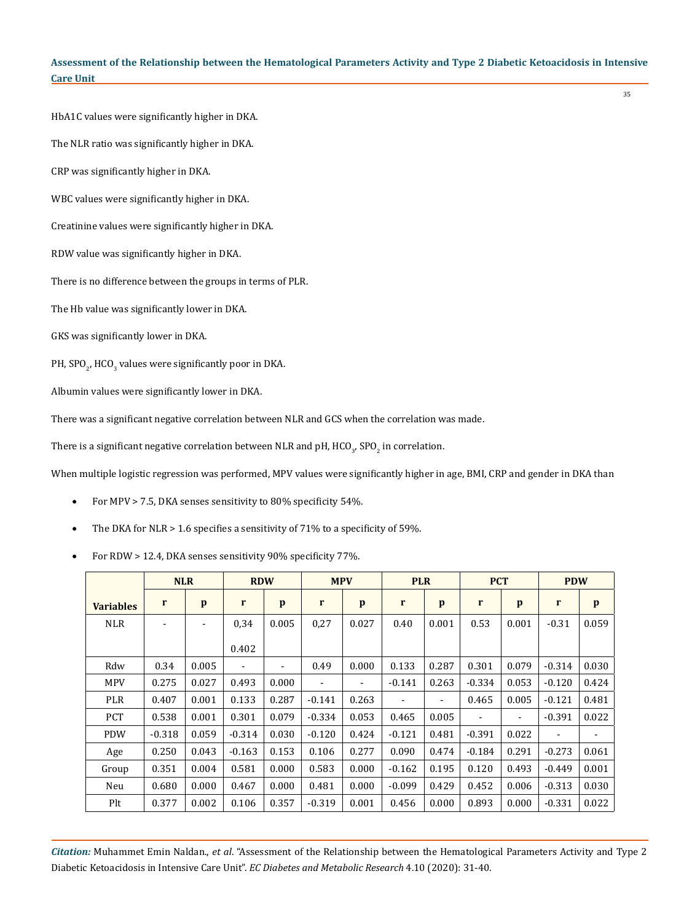35

HbA1C values were significantly higher in DKA.

The NLR ratio was significantly higher in DKA.

CRP was significantly higher in DKA.

WBC values were significantly higher in DKA.

Creatinine values were significantly higher in DKA.

RDW value was significantly higher in DKA.

There is no difference between the groups in terms of PLR.

The Hb value was significantly lower in DKA.

GKS was significantly lower in DKA.

PH, SPO $_{\textrm{\tiny{2}}}$ , HCO $_{\textrm{\tiny{3}}}$  values were significantly poor in DKA.

Albumin values were significantly lower in DKA.

There was a significant negative correlation between NLR and GCS when the correlation was made.

There is a significant negative correlation between NLR and pH, HCO $_{\mathit{3'}}$  SPO $_{\mathit{2}}$  in correlation.

When multiple logistic regression was performed, MPV values were significantly higher in age, BMI, CRP and gender in DKA than

- For MPV > 7.5, DKA senses sensitivity to 80% specificity 54%.
- The DKA for NLR > 1.6 specifies a sensitivity of 71% to a specificity of 59%.
- For RDW > 12.4, DKA senses sensitivity 90% specificity 77%.

|                  | <b>NLR</b> |       | <b>RDW</b>               |       | <b>MPV</b>               |       | <b>PLR</b> |                          | <b>PCT</b> |                          | <b>PDW</b>               |              |
|------------------|------------|-------|--------------------------|-------|--------------------------|-------|------------|--------------------------|------------|--------------------------|--------------------------|--------------|
| <b>Variables</b> | r          | p     | r                        | p     | $\mathbf{r}$             | p     | r          | p                        | r          | p                        | r                        | $\mathbf{p}$ |
| <b>NLR</b>       | ٠          |       | 0,34                     | 0.005 | 0,27                     | 0.027 | 0.40       | 0.001                    | 0.53       | 0.001                    | $-0.31$                  | 0.059        |
|                  |            |       | 0.402                    |       |                          |       |            |                          |            |                          |                          |              |
| Rdw              | 0.34       | 0.005 | $\overline{\phantom{0}}$ | ۰     | 0.49                     | 0.000 | 0.133      | 0.287                    | 0.301      | 0.079                    | $-0.314$                 | 0.030        |
| <b>MPV</b>       | 0.275      | 0.027 | 0.493                    | 0.000 | $\overline{\phantom{a}}$ | ۰     | $-0.141$   | 0.263                    | $-0.334$   | 0.053                    | $-0.120$                 | 0.424        |
| <b>PLR</b>       | 0.407      | 0.001 | 0.133                    | 0.287 | $-0.141$                 | 0.263 |            | $\overline{\phantom{a}}$ | 0.465      | 0.005                    | $-0.121$                 | 0.481        |
| <b>PCT</b>       | 0.538      | 0.001 | 0.301                    | 0.079 | $-0.334$                 | 0.053 | 0.465      | 0.005                    |            | $\overline{\phantom{a}}$ | $-0.391$                 | 0.022        |
| <b>PDW</b>       | $-0.318$   | 0.059 | $-0.314$                 | 0.030 | $-0.120$                 | 0.424 | $-0.121$   | 0.481                    | $-0.391$   | 0.022                    | $\overline{\phantom{a}}$ | ۰            |
| Age              | 0.250      | 0.043 | $-0.163$                 | 0.153 | 0.106                    | 0.277 | 0.090      | 0.474                    | $-0.184$   | 0.291                    | $-0.273$                 | 0.061        |
| Group            | 0.351      | 0.004 | 0.581                    | 0.000 | 0.583                    | 0.000 | $-0.162$   | 0.195                    | 0.120      | 0.493                    | $-0.449$                 | 0.001        |
| Neu              | 0.680      | 0.000 | 0.467                    | 0.000 | 0.481                    | 0.000 | $-0.099$   | 0.429                    | 0.452      | 0.006                    | $-0.313$                 | 0.030        |
| Plt              | 0.377      | 0.002 | 0.106                    | 0.357 | $-0.319$                 | 0.001 | 0.456      | 0.000                    | 0.893      | 0.000                    | $-0.331$                 | 0.022        |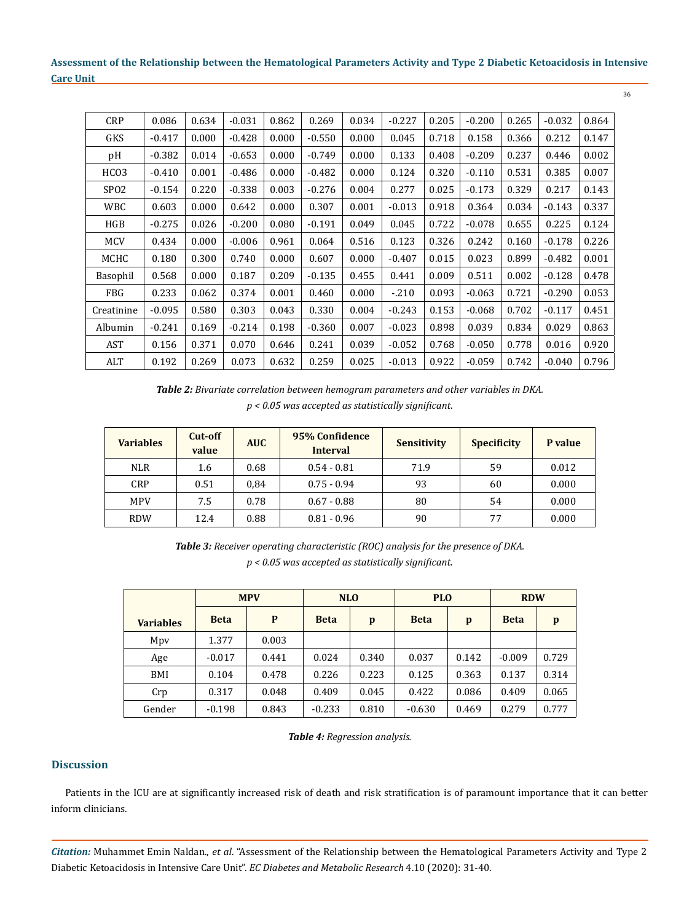| <b>CRP</b>       | 0.086    | 0.634 | $-0.031$ | 0.862 | 0.269    | 0.034 | $-0.227$ | 0.205 | $-0.200$ | 0.265 | $-0.032$ | 0.864 |
|------------------|----------|-------|----------|-------|----------|-------|----------|-------|----------|-------|----------|-------|
| GKS              | $-0.417$ | 0.000 | $-0.428$ | 0.000 | $-0.550$ | 0.000 | 0.045    | 0.718 | 0.158    | 0.366 | 0.212    | 0.147 |
| pH               | $-0.382$ | 0.014 | $-0.653$ | 0.000 | $-0.749$ | 0.000 | 0.133    | 0.408 | $-0.209$ | 0.237 | 0.446    | 0.002 |
| HCO <sub>3</sub> | $-0.410$ | 0.001 | $-0.486$ | 0.000 | $-0.482$ | 0.000 | 0.124    | 0.320 | $-0.110$ | 0.531 | 0.385    | 0.007 |
| SP <sub>02</sub> | $-0.154$ | 0.220 | $-0.338$ | 0.003 | $-0.276$ | 0.004 | 0.277    | 0.025 | $-0.173$ | 0.329 | 0.217    | 0.143 |
| WBC              | 0.603    | 0.000 | 0.642    | 0.000 | 0.307    | 0.001 | $-0.013$ | 0.918 | 0.364    | 0.034 | $-0.143$ | 0.337 |
| HGB              | $-0.275$ | 0.026 | $-0.200$ | 0.080 | $-0.191$ | 0.049 | 0.045    | 0.722 | $-0.078$ | 0.655 | 0.225    | 0.124 |
| <b>MCV</b>       | 0.434    | 0.000 | $-0.006$ | 0.961 | 0.064    | 0.516 | 0.123    | 0.326 | 0.242    | 0.160 | $-0.178$ | 0.226 |
| MCHC             | 0.180    | 0.300 | 0.740    | 0.000 | 0.607    | 0.000 | $-0.407$ | 0.015 | 0.023    | 0.899 | $-0.482$ | 0.001 |
| Basophil         | 0.568    | 0.000 | 0.187    | 0.209 | $-0.135$ | 0.455 | 0.441    | 0.009 | 0.511    | 0.002 | $-0.128$ | 0.478 |
| FBG              | 0.233    | 0.062 | 0.374    | 0.001 | 0.460    | 0.000 | $-.210$  | 0.093 | $-0.063$ | 0.721 | $-0.290$ | 0.053 |
| Creatinine       | $-0.095$ | 0.580 | 0.303    | 0.043 | 0.330    | 0.004 | $-0.243$ | 0.153 | $-0.068$ | 0.702 | $-0.117$ | 0.451 |
| Albumin          | $-0.241$ | 0.169 | $-0.214$ | 0.198 | $-0.360$ | 0.007 | $-0.023$ | 0.898 | 0.039    | 0.834 | 0.029    | 0.863 |
| AST              | 0.156    | 0.371 | 0.070    | 0.646 | 0.241    | 0.039 | $-0.052$ | 0.768 | $-0.050$ | 0.778 | 0.016    | 0.920 |
| ALT              | 0.192    | 0.269 | 0.073    | 0.632 | 0.259    | 0.025 | $-0.013$ | 0.922 | $-0.059$ | 0.742 | $-0.040$ | 0.796 |

*Table 2: Bivariate correlation between hemogram parameters and other variables in DKA. p < 0.05 was accepted as statistically significant.*

| <b>Variables</b> | Cut-off<br>value | <b>AUC</b> | 95% Confidence<br><b>Interval</b> | <b>Sensitivity</b> | <b>Specificity</b> | P value |
|------------------|------------------|------------|-----------------------------------|--------------------|--------------------|---------|
| <b>NLR</b>       | 1.6              | 0.68       | $0.54 - 0.81$                     | 71.9               | 59                 | 0.012   |
| CRP              | 0.51             | 0.84       | $0.75 - 0.94$                     | 93                 | 60                 | 0.000   |
| <b>MPV</b>       | 7.5              | 0.78       | $0.67 - 0.88$                     | 80                 | 54                 | 0.000   |
| <b>RDW</b>       | 12.4             | 0.88       | $0.81 - 0.96$                     | 90                 | 77                 | 0.000   |

*Table 3: Receiver operating characteristic (ROC) analysis for the presence of DKA. p < 0.05 was accepted as statistically significant.*

|                  | <b>MPV</b>  |       |             | <b>NLO</b><br><b>PLO</b> |             |       | <b>RDW</b>  |       |
|------------------|-------------|-------|-------------|--------------------------|-------------|-------|-------------|-------|
| <b>Variables</b> | <b>Beta</b> | P     | <b>Beta</b> | p                        | <b>Beta</b> | p     | <b>Beta</b> | p     |
| Mpy              | 1.377       | 0.003 |             |                          |             |       |             |       |
| Age              | $-0.017$    | 0.441 | 0.024       | 0.340                    | 0.037       | 0.142 | $-0.009$    | 0.729 |
| BMI              | 0.104       | 0.478 | 0.226       | 0.223                    | 0.125       | 0.363 | 0.137       | 0.314 |
| Crp              | 0.317       | 0.048 | 0.409       | 0.045                    | 0.422       | 0.086 | 0.409       | 0.065 |
| Gender           | $-0.198$    | 0.843 | $-0.233$    | 0.810                    | $-0.630$    | 0.469 | 0.279       | 0.777 |

*Table 4: Regression analysis.*

## **Discussion**

Patients in the ICU are at significantly increased risk of death and risk stratification is of paramount importance that it can better inform clinicians.

*Citation:* Muhammet Emin Naldan., *et al*. "Assessment of the Relationship between the Hematological Parameters Activity and Type 2 Diabetic Ketoacidosis in Intensive Care Unit". *EC Diabetes and Metabolic Research* 4.10 (2020): 31-40.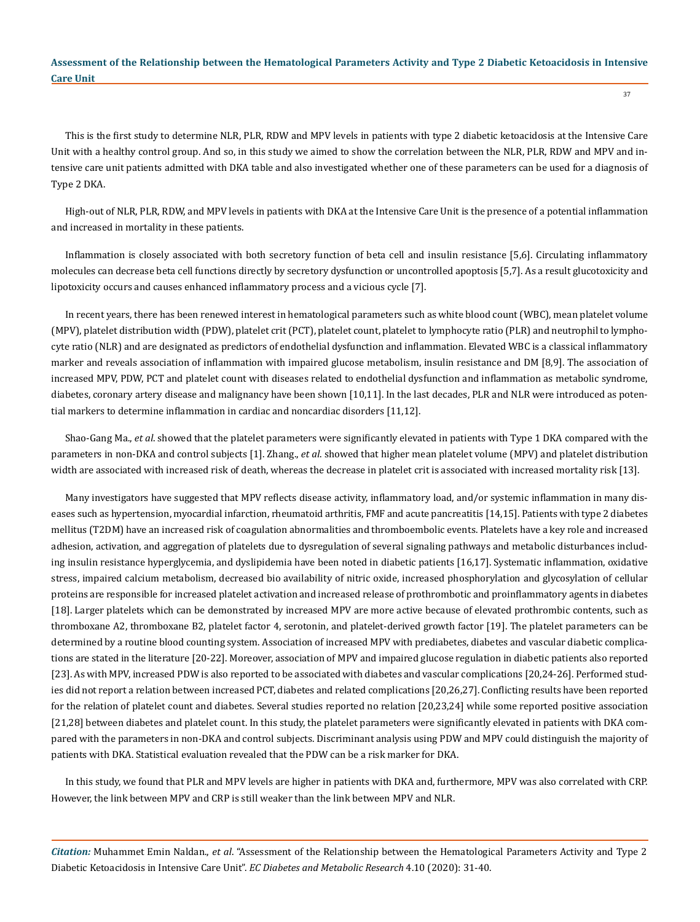This is the first study to determine NLR, PLR, RDW and MPV levels in patients with type 2 diabetic ketoacidosis at the Intensive Care Unit with a healthy control group. And so, in this study we aimed to show the correlation between the NLR, PLR, RDW and MPV and intensive care unit patients admitted with DKA table and also investigated whether one of these parameters can be used for a diagnosis of Type 2 DKA.

High-out of NLR, PLR, RDW, and MPV levels in patients with DKA at the Intensive Care Unit is the presence of a potential inflammation and increased in mortality in these patients.

Inflammation is closely associated with both secretory function of beta cell and insulin resistance [5,6]. Circulating inflammatory molecules can decrease beta cell functions directly by secretory dysfunction or uncontrolled apoptosis [5,7]. As a result glucotoxicity and lipotoxicity occurs and causes enhanced inflammatory process and a vicious cycle [7].

In recent years, there has been renewed interest in hematological parameters such as white blood count (WBC), mean platelet volume (MPV), platelet distribution width (PDW), platelet crit (PCT), platelet count, platelet to lymphocyte ratio (PLR) and neutrophil to lymphocyte ratio (NLR) and are designated as predictors of endothelial dysfunction and inflammation. Elevated WBC is a classical inflammatory marker and reveals association of inflammation with impaired glucose metabolism, insulin resistance and DM [8,9]. The association of increased MPV, PDW, PCT and platelet count with diseases related to endothelial dysfunction and inflammation as metabolic syndrome, diabetes, coronary artery disease and malignancy have been shown [10,11]. In the last decades, PLR and NLR were introduced as potential markers to determine inflammation in cardiac and noncardiac disorders [11,12].

Shao-Gang Ma., *et al*. showed that the platelet parameters were significantly elevated in patients with Type 1 DKA compared with the parameters in non-DKA and control subjects [1]. Zhang., *et al*. showed that higher mean platelet volume (MPV) and platelet distribution width are associated with increased risk of death, whereas the decrease in platelet crit is associated with increased mortality risk [13].

Many investigators have suggested that MPV reflects disease activity, inflammatory load, and/or systemic inflammation in many diseases such as hypertension, myocardial infarction, rheumatoid arthritis, FMF and acute pancreatitis [14,15]. Patients with type 2 diabetes mellitus (T2DM) have an increased risk of coagulation abnormalities and thromboembolic events. Platelets have a key role and increased adhesion, activation, and aggregation of platelets due to dysregulation of several signaling pathways and metabolic disturbances including insulin resistance hyperglycemia, and dyslipidemia have been noted in diabetic patients [16,17]. Systematic inflammation, oxidative stress, impaired calcium metabolism, decreased bio availability of nitric oxide, increased phosphorylation and glycosylation of cellular proteins are responsible for increased platelet activation and increased release of prothrombotic and proinflammatory agents in diabetes [18]. Larger platelets which can be demonstrated by increased MPV are more active because of elevated prothrombic contents, such as thromboxane A2, thromboxane B2, platelet factor 4, serotonin, and platelet-derived growth factor [19]. The platelet parameters can be determined by a routine blood counting system. Association of increased MPV with prediabetes, diabetes and vascular diabetic complications are stated in the literature [20-22]. Moreover, association of MPV and impaired glucose regulation in diabetic patients also reported [23]. As with MPV, increased PDW is also reported to be associated with diabetes and vascular complications [20,24-26]. Performed studies did not report a relation between increased PCT, diabetes and related complications [20,26,27]. Conflicting results have been reported for the relation of platelet count and diabetes. Several studies reported no relation [20,23,24] while some reported positive association [21,28] between diabetes and platelet count. In this study, the platelet parameters were significantly elevated in patients with DKA compared with the parameters in non-DKA and control subjects. Discriminant analysis using PDW and MPV could distinguish the majority of patients with DKA. Statistical evaluation revealed that the PDW can be a risk marker for DKA.

In this study, we found that PLR and MPV levels are higher in patients with DKA and, furthermore, MPV was also correlated with CRP. However, the link between MPV and CRP is still weaker than the link between MPV and NLR.

*Citation:* Muhammet Emin Naldan., *et al*. "Assessment of the Relationship between the Hematological Parameters Activity and Type 2 Diabetic Ketoacidosis in Intensive Care Unit". *EC Diabetes and Metabolic Research* 4.10 (2020): 31-40.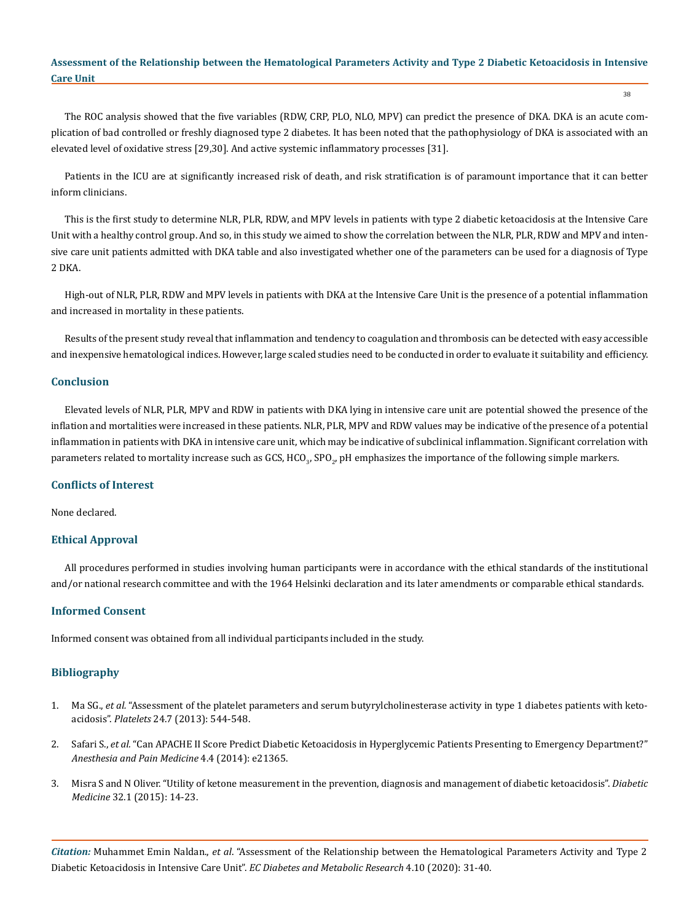The ROC analysis showed that the five variables (RDW, CRP, PLO, NLO, MPV) can predict the presence of DKA. DKA is an acute complication of bad controlled or freshly diagnosed type 2 diabetes. It has been noted that the pathophysiology of DKA is associated with an elevated level of oxidative stress [29,30]. And active systemic inflammatory processes [31].

Patients in the ICU are at significantly increased risk of death, and risk stratification is of paramount importance that it can better inform clinicians.

This is the first study to determine NLR, PLR, RDW, and MPV levels in patients with type 2 diabetic ketoacidosis at the Intensive Care Unit with a healthy control group. And so, in this study we aimed to show the correlation between the NLR, PLR, RDW and MPV and intensive care unit patients admitted with DKA table and also investigated whether one of the parameters can be used for a diagnosis of Type 2 DKA.

High-out of NLR, PLR, RDW and MPV levels in patients with DKA at the Intensive Care Unit is the presence of a potential inflammation and increased in mortality in these patients.

Results of the present study reveal that inflammation and tendency to coagulation and thrombosis can be detected with easy accessible and inexpensive hematological indices. However, large scaled studies need to be conducted in order to evaluate it suitability and efficiency.

#### **Conclusion**

Elevated levels of NLR, PLR, MPV and RDW in patients with DKA lying in intensive care unit are potential showed the presence of the inflation and mortalities were increased in these patients. NLR, PLR, MPV and RDW values may be indicative of the presence of a potential inflammation in patients with DKA in intensive care unit, which may be indicative of subclinical inflammation. Significant correlation with parameters related to mortality increase such as GCS, HCO<sub>3</sub>, SPO<sub>2</sub>, pH emphasizes the importance of the following simple markers.

#### **Conflicts of Interest**

None declared.

#### **Ethical Approval**

All procedures performed in studies involving human participants were in accordance with the ethical standards of the institutional and/or national research committee and with the 1964 Helsinki declaration and its later amendments or comparable ethical standards.

#### **Informed Consent**

Informed consent was obtained from all individual participants included in the study.

#### **Bibliography**

- 1. Ma SG., *et al.* ["Assessment of the platelet parameters and serum butyrylcholinesterase activity in type 1 diabetes patients with keto](https://pubmed.ncbi.nlm.nih.gov/23134410/)acidosis". *Platelets* [24.7 \(2013\): 544-548.](https://pubmed.ncbi.nlm.nih.gov/23134410/)
- 2. Safari S., *et al.* ["Can APACHE II Score Predict Diabetic Ketoacidosis in Hyperglycemic Patients Presenting to Emergency Department?"](https://pubmed.ncbi.nlm.nih.gov/25599026/)  *[Anesthesia and Pain Medicine](https://pubmed.ncbi.nlm.nih.gov/25599026/)* 4.4 (2014): e21365.
- 3. [Misra S and N Oliver. "Utility of ketone measurement in the prevention, diagnosis and management of diabetic ketoacidosis".](https://pubmed.ncbi.nlm.nih.gov/25307274/) *Diabetic Medicine* [32.1 \(2015\): 14-23.](https://pubmed.ncbi.nlm.nih.gov/25307274/)

*Citation:* Muhammet Emin Naldan., *et al*. "Assessment of the Relationship between the Hematological Parameters Activity and Type 2 Diabetic Ketoacidosis in Intensive Care Unit". *EC Diabetes and Metabolic Research* 4.10 (2020): 31-40.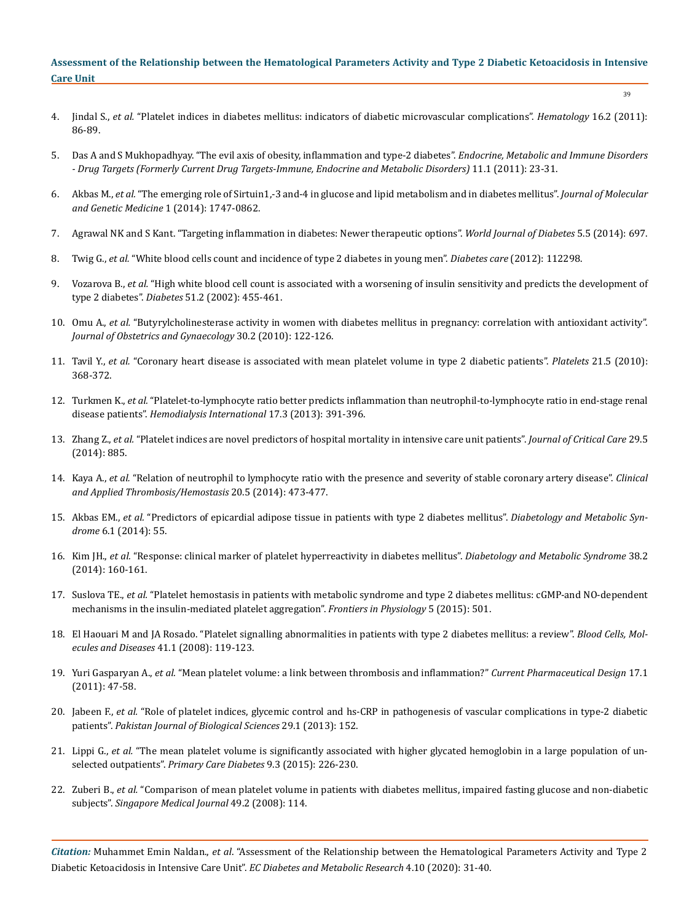39

- 4. Jindal S., *et al.* ["Platelet indices in diabetes mellitus: indicators of diabetic microvascular complications".](https://pubmed.ncbi.nlm.nih.gov/21418738/) *Hematology* 16.2 (2011): [86-89.](https://pubmed.ncbi.nlm.nih.gov/21418738/)
- 5. [Das A and S Mukhopadhyay. "The evil axis of obesity, inflammation and type-2 diabetes".](https://pubmed.ncbi.nlm.nih.gov/21348821/) *Endocrine, Metabolic and Immune Disorders [- Drug Targets \(Formerly Current Drug Targets-Immune, Endocrine and Metabolic Disorders\)](https://pubmed.ncbi.nlm.nih.gov/21348821/)* 11.1 (2011): 23-31.
- 6. Akbas M., *et al.* ["The emerging role of Sirtuin1,-3 and-4 in glucose and lipid metabolism and in diabetes mellitus".](https://www.researchgate.net/publication/279854481_The_Emerging_Role_of_Sirtuin_1-3_and_-4_in_Glucose_and_Lipid_Metabolism_and_in_Diabetes_Mellitus) *Journal of Molecular [and Genetic Medicine](https://www.researchgate.net/publication/279854481_The_Emerging_Role_of_Sirtuin_1-3_and_-4_in_Glucose_and_Lipid_Metabolism_and_in_Diabetes_Mellitus)* 1 (2014): 1747-0862.
- 7. [Agrawal NK and S Kant. "Targeting inflammation in diabetes: Newer therapeutic options".](https://pubmed.ncbi.nlm.nih.gov/25317247/) *World Journal of Diabetes* 5.5 (2014): 697.
- 8. Twig G., *et al.* ["White blood cells count and incidence of type 2 diabetes in young men".](https://pubmed.ncbi.nlm.nih.gov/22961572/) *Diabetes care* (2012): 112298.
- 9. Vozarova B., *et al.* ["High white blood cell count is associated with a worsening of insulin sensitivity and predicts the development of](https://pubmed.ncbi.nlm.nih.gov/11812755/)  type 2 diabetes". *Diabetes* [51.2 \(2002\): 455-461.](https://pubmed.ncbi.nlm.nih.gov/11812755/)
- 10. Omu A., *et al.* ["Butyrylcholinesterase activity in women with diabetes mellitus in pregnancy: correlation with antioxidant activity".](https://www.tandfonline.com/doi/abs/10.3109/01443610903443913?journalCode=ijog20)  *[Journal of Obstetrics and Gynaecology](https://www.tandfonline.com/doi/abs/10.3109/01443610903443913?journalCode=ijog20)* 30.2 (2010): 122-126.
- 11. Tavil Y., *et al.* ["Coronary heart disease is associated with mean platelet volume in type 2 diabetic patients".](https://pubmed.ncbi.nlm.nih.gov/20521863/) *Platelets* 21.5 (2010): [368-372.](https://pubmed.ncbi.nlm.nih.gov/20521863/)
- 12. Turkmen K., *et al.* ["Platelet‐to‐lymphocyte ratio better predicts inflammation than neutrophil‐to‐lymphocyte ratio in end‐stage renal](https://pubmed.ncbi.nlm.nih.gov/23522328/)  disease patients". *[Hemodialysis International](https://pubmed.ncbi.nlm.nih.gov/23522328/)* 17.3 (2013): 391-396.
- 13. Zhang Z., *et al.* ["Platelet indices are novel predictors of hospital mortality in intensive care unit patients".](https://www.sciencedirect.com/science/article/abs/pii/S0883944114001671) *Journal of Critical Care* 29.5 [\(2014\): 885.](https://www.sciencedirect.com/science/article/abs/pii/S0883944114001671)
- 14. Kaya A., *et al.* ["Relation of neutrophil to lymphocyte ratio with the presence and severity of stable coronary artery disease".](https://pubmed.ncbi.nlm.nih.gov/23344996/) *Clinical [and Applied Thrombosis/Hemostasis](https://pubmed.ncbi.nlm.nih.gov/23344996/)* 20.5 (2014): 473-477.
- 15. Akbas EM., *et al.* ["Predictors of epicardial adipose tissue in patients with type 2 diabetes mellitus".](https://dmsjournal.biomedcentral.com/articles/10.1186/1758-5996-6-55) *Diabetology and Metabolic Syndrome* [6.1 \(2014\): 55.](https://dmsjournal.biomedcentral.com/articles/10.1186/1758-5996-6-55)
- 16. Kim JH., *et al.* ["Response: clinical marker of platelet hyperreactivity in diabetes mellitus".](https://www.ncbi.nlm.nih.gov/pmc/articles/PMC4021304/) *Diabetology and Metabolic Syndrome* 38.2 [\(2014\): 160-161.](https://www.ncbi.nlm.nih.gov/pmc/articles/PMC4021304/)
- 17. Suslova TE., *et al.* ["Platelet hemostasis in patients with metabolic syndrome and type 2 diabetes mellitus: cGMP-and NO-dependent](https://www.frontiersin.org/articles/10.3389/fphys.2014.00501/full)  [mechanisms in the insulin-mediated platelet aggregation".](https://www.frontiersin.org/articles/10.3389/fphys.2014.00501/full) *Frontiers in Physiology* 5 (2015): 501.
- 18. [El Haouari M and JA Rosado. "Platelet signalling abnormalities in patients with type 2 diabetes mellitus: a review".](https://europepmc.org/article/med/18387322) *Blood Cells, Mol[ecules and Diseases](https://europepmc.org/article/med/18387322)* 41.1 (2008): 119-123.
- 19. Yuri Gasparyan A., *et al.* ["Mean platelet volume: a link between thrombosis and inflammation?"](https://pubmed.ncbi.nlm.nih.gov/21247392/) *Current Pharmaceutical Design* 17.1 [\(2011\): 47-58.](https://pubmed.ncbi.nlm.nih.gov/21247392/)
- 20. Jabeen F., *et al.* ["Role of platelet indices, glycemic control and hs-CRP in pathogenesis of vascular complications in type-2 diabetic](https://www.ncbi.nlm.nih.gov/pmc/articles/PMC3809177/)  patients". *[Pakistan Journal of Biological Sciences](https://www.ncbi.nlm.nih.gov/pmc/articles/PMC3809177/)* 29.1 (2013): 152.
- 21. Lippi G., *et al.* ["The mean platelet volume is significantly associated with higher glycated hemoglobin in a large population of un](https://pubmed.ncbi.nlm.nih.gov/25249479/)selected outpatients". *[Primary Care Diabetes](https://pubmed.ncbi.nlm.nih.gov/25249479/)* 9.3 (2015): 226-230.
- 22. Zuberi B., et al. "Comparison of mean platelet volume in patients with diabetes mellitus, impaired fasting glucose and non-diabetic subjects". *[Singapore Medical Journal](https://pubmed.ncbi.nlm.nih.gov/18301837/)* 49.2 (2008): 114.